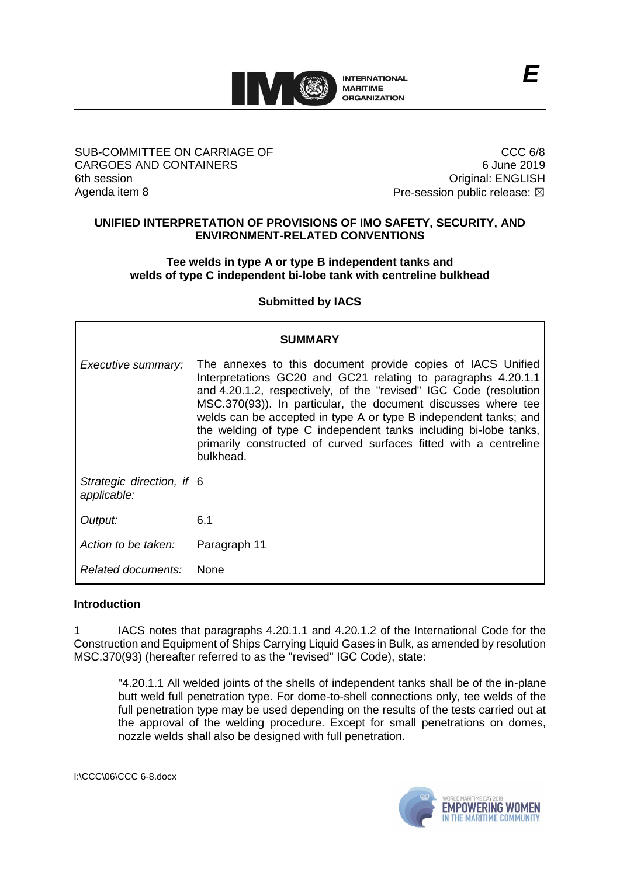

#### SUB-COMMITTEE ON CARRIAGE OF CARGOES AND CONTAINERS 6th session Agenda item 8

CCC 6/8 6 June 2019 Original: ENGLISH Pre-session public release:  $\boxtimes$ 

#### **UNIFIED INTERPRETATION OF PROVISIONS OF IMO SAFETY, SECURITY, AND ENVIRONMENT-RELATED CONVENTIONS**

# **Tee welds in type A or type B independent tanks and welds of type C independent bi-lobe tank with centreline bulkhead**

# **Submitted by IACS**

| <b>SUMMARY</b>                           |                                                                                                                                                                                                                                                                                                                                                                                                                                                                                              |
|------------------------------------------|----------------------------------------------------------------------------------------------------------------------------------------------------------------------------------------------------------------------------------------------------------------------------------------------------------------------------------------------------------------------------------------------------------------------------------------------------------------------------------------------|
| Executive summary:                       | The annexes to this document provide copies of IACS Unified<br>Interpretations GC20 and GC21 relating to paragraphs 4.20.1.1<br>and 4.20.1.2, respectively, of the "revised" IGC Code (resolution<br>MSC.370(93)). In particular, the document discusses where tee<br>welds can be accepted in type A or type B independent tanks; and<br>the welding of type C independent tanks including bi-lobe tanks,<br>primarily constructed of curved surfaces fitted with a centreline<br>bulkhead. |
| Strategic direction, if 6<br>applicable: |                                                                                                                                                                                                                                                                                                                                                                                                                                                                                              |
| Output:                                  | 6.1                                                                                                                                                                                                                                                                                                                                                                                                                                                                                          |
| Action to be taken:                      | Paragraph 11                                                                                                                                                                                                                                                                                                                                                                                                                                                                                 |
| Related documents:                       | <b>None</b>                                                                                                                                                                                                                                                                                                                                                                                                                                                                                  |

### **Introduction**

1 IACS notes that paragraphs 4.20.1.1 and 4.20.1.2 of the International Code for the Construction and Equipment of Ships Carrying Liquid Gases in Bulk, as amended by resolution MSC.370(93) (hereafter referred to as the "revised" IGC Code), state:

"4.20.1.1 All welded joints of the shells of independent tanks shall be of the in-plane butt weld full penetration type. For dome-to-shell connections only, tee welds of the full penetration type may be used depending on the results of the tests carried out at the approval of the welding procedure. Except for small penetrations on domes, nozzle welds shall also be designed with full penetration.

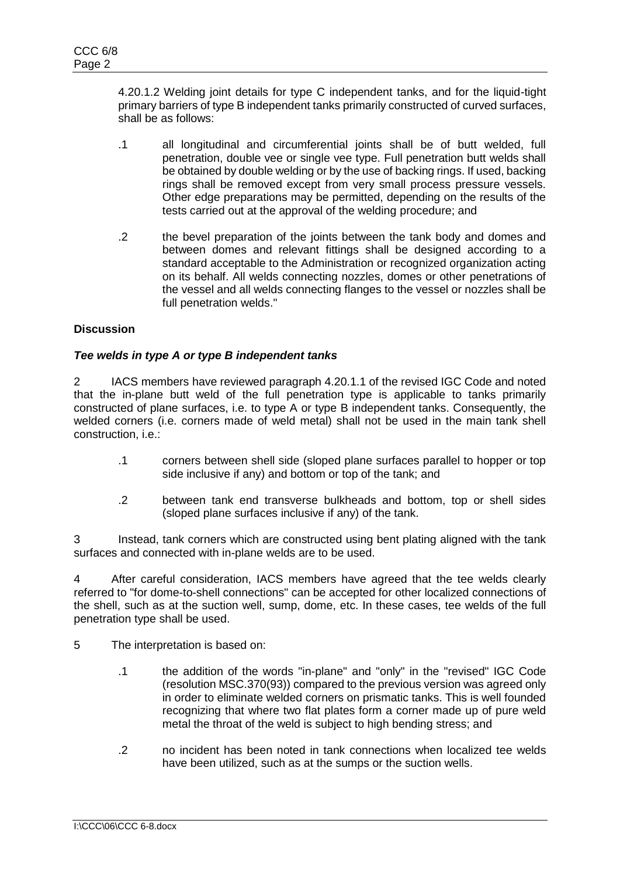4.20.1.2 Welding joint details for type C independent tanks, and for the liquid-tight primary barriers of type B independent tanks primarily constructed of curved surfaces, shall be as follows:

- .1 all longitudinal and circumferential joints shall be of butt welded, full penetration, double vee or single vee type. Full penetration butt welds shall be obtained by double welding or by the use of backing rings. If used, backing rings shall be removed except from very small process pressure vessels. Other edge preparations may be permitted, depending on the results of the tests carried out at the approval of the welding procedure; and
- .2 the bevel preparation of the joints between the tank body and domes and between domes and relevant fittings shall be designed according to a standard acceptable to the Administration or recognized organization acting on its behalf. All welds connecting nozzles, domes or other penetrations of the vessel and all welds connecting flanges to the vessel or nozzles shall be full penetration welds."

### **Discussion**

### *Tee welds in type A or type B independent tanks*

2 IACS members have reviewed paragraph 4.20.1.1 of the revised IGC Code and noted that the in-plane butt weld of the full penetration type is applicable to tanks primarily constructed of plane surfaces, i.e. to type A or type B independent tanks. Consequently, the welded corners (i.e. corners made of weld metal) shall not be used in the main tank shell construction, i.e.:

- .1 corners between shell side (sloped plane surfaces parallel to hopper or top side inclusive if any) and bottom or top of the tank; and
- .2 between tank end transverse bulkheads and bottom, top or shell sides (sloped plane surfaces inclusive if any) of the tank.

3 Instead, tank corners which are constructed using bent plating aligned with the tank surfaces and connected with in-plane welds are to be used.

4 After careful consideration, IACS members have agreed that the tee welds clearly referred to "for dome-to-shell connections" can be accepted for other localized connections of the shell, such as at the suction well, sump, dome, etc. In these cases, tee welds of the full penetration type shall be used.

5 The interpretation is based on:

- .1 the addition of the words "in-plane" and "only" in the "revised" IGC Code (resolution MSC.370(93)) compared to the previous version was agreed only in order to eliminate welded corners on prismatic tanks. This is well founded recognizing that where two flat plates form a corner made up of pure weld metal the throat of the weld is subject to high bending stress; and
- .2 no incident has been noted in tank connections when localized tee welds have been utilized, such as at the sumps or the suction wells.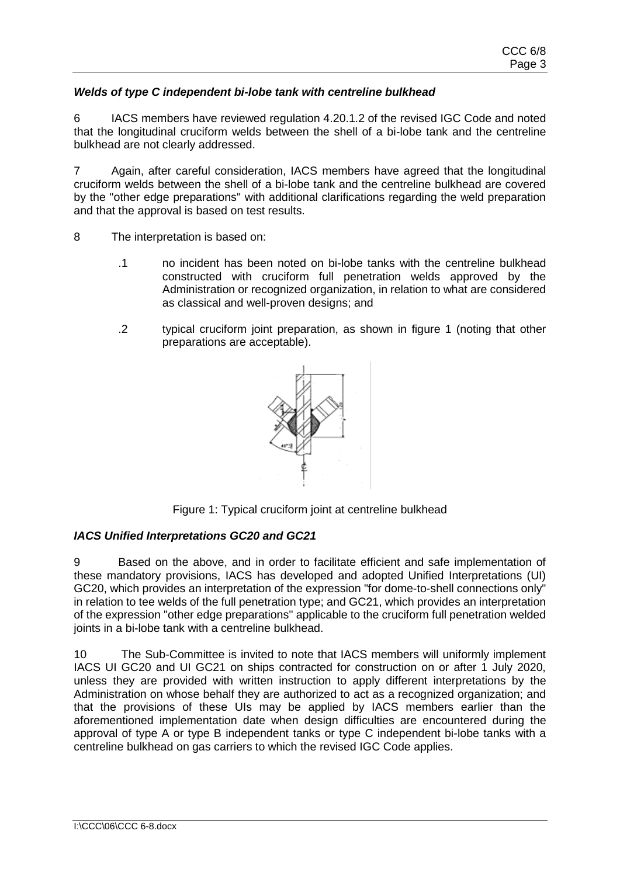# *Welds of type C independent bi-lobe tank with centreline bulkhead*

6 IACS members have reviewed regulation 4.20.1.2 of the revised IGC Code and noted that the longitudinal cruciform welds between the shell of a bi-lobe tank and the centreline bulkhead are not clearly addressed.

7 Again, after careful consideration, IACS members have agreed that the longitudinal cruciform welds between the shell of a bi-lobe tank and the centreline bulkhead are covered by the "other edge preparations" with additional clarifications regarding the weld preparation and that the approval is based on test results.

- 8 The interpretation is based on:
	- .1 no incident has been noted on bi-lobe tanks with the centreline bulkhead constructed with cruciform full penetration welds approved by the Administration or recognized organization, in relation to what are considered as classical and well-proven designs; and
	- .2 typical cruciform joint preparation, as shown in figure 1 (noting that other preparations are acceptable).



Figure 1: Typical cruciform joint at centreline bulkhead

### *IACS Unified Interpretations GC20 and GC21*

9 Based on the above, and in order to facilitate efficient and safe implementation of these mandatory provisions, IACS has developed and adopted Unified Interpretations (UI) GC20, which provides an interpretation of the expression "for dome-to-shell connections only" in relation to tee welds of the full penetration type; and GC21, which provides an interpretation of the expression "other edge preparations" applicable to the cruciform full penetration welded joints in a bi-lobe tank with a centreline bulkhead.

10 The Sub-Committee is invited to note that IACS members will uniformly implement IACS UI GC20 and UI GC21 on ships contracted for construction on or after 1 July 2020, unless they are provided with written instruction to apply different interpretations by the Administration on whose behalf they are authorized to act as a recognized organization; and that the provisions of these UIs may be applied by IACS members earlier than the aforementioned implementation date when design difficulties are encountered during the approval of type A or type B independent tanks or type C independent bi-lobe tanks with a centreline bulkhead on gas carriers to which the revised IGC Code applies.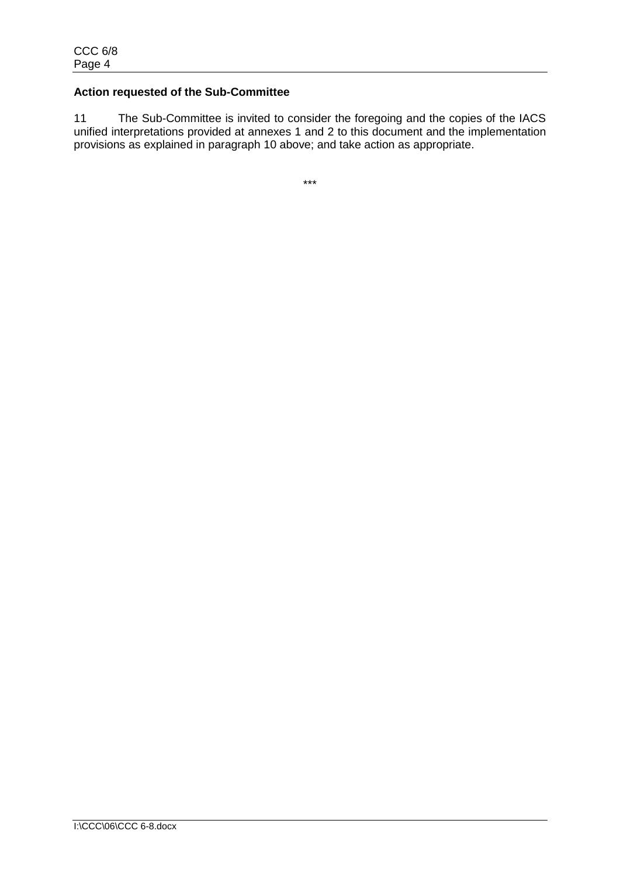### **Action requested of the Sub-Committee**

11 The Sub-Committee is invited to consider the foregoing and the copies of the IACS unified interpretations provided at annexes 1 and 2 to this document and the implementation provisions as explained in paragraph 10 above; and take action as appropriate.

\*\*\*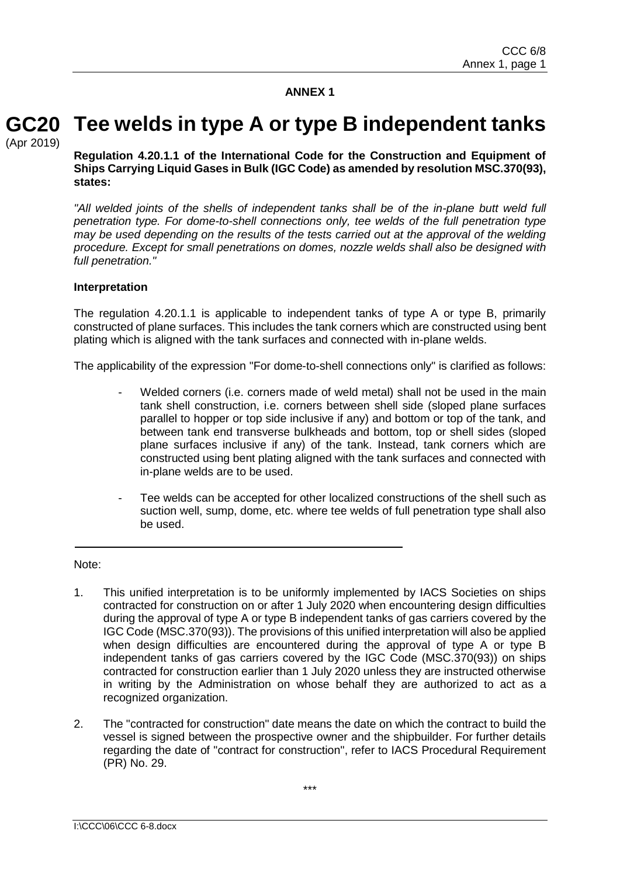**ANNEX 1**

#### **Tee welds in type A or type B independent tanks GC20**

(Apr 2019)

**Regulation 4.20.1.1 of the International Code for the Construction and Equipment of Ships Carrying Liquid Gases in Bulk (IGC Code) as amended by resolution MSC.370(93), states:**

"All welded joints of the shells of independent tanks shall be of the in-plane butt weld full *penetration type. For dome-to-shell connections only, tee welds of the full penetration type may be used depending on the results of the tests carried out at the approval of the welding procedure. Except for small penetrations on domes, nozzle welds shall also be designed with full penetration."*

### **Interpretation**

The regulation 4.20.1.1 is applicable to independent tanks of type A or type B, primarily constructed of plane surfaces. This includes the tank corners which are constructed using bent plating which is aligned with the tank surfaces and connected with in-plane welds.

The applicability of the expression "For dome-to-shell connections only" is clarified as follows:

- Welded corners (i.e. corners made of weld metal) shall not be used in the main tank shell construction, i.e. corners between shell side (sloped plane surfaces parallel to hopper or top side inclusive if any) and bottom or top of the tank, and between tank end transverse bulkheads and bottom, top or shell sides (sloped plane surfaces inclusive if any) of the tank. Instead, tank corners which are constructed using bent plating aligned with the tank surfaces and connected with in-plane welds are to be used.
- Tee welds can be accepted for other localized constructions of the shell such as suction well, sump, dome, etc. where tee welds of full penetration type shall also be used.

Note:

- 1. This unified interpretation is to be uniformly implemented by IACS Societies on ships contracted for construction on or after 1 July 2020 when encountering design difficulties during the approval of type A or type B independent tanks of gas carriers covered by the IGC Code (MSC.370(93)). The provisions of this unified interpretation will also be applied when design difficulties are encountered during the approval of type A or type B independent tanks of gas carriers covered by the IGC Code (MSC.370(93)) on ships contracted for construction earlier than 1 July 2020 unless they are instructed otherwise in writing by the Administration on whose behalf they are authorized to act as a recognized organization.
- 2. The "contracted for construction" date means the date on which the contract to build the vessel is signed between the prospective owner and the shipbuilder. For further details regarding the date of "contract for construction", refer to IACS Procedural Requirement (PR) No. 29.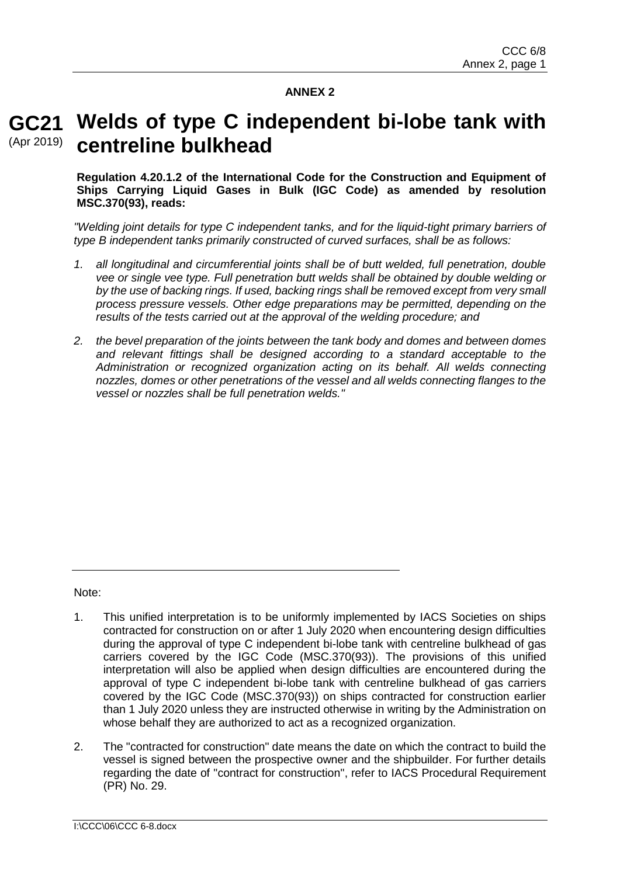# **ANNEX 2**

# **Welds of type C independent bi-lobe tank with GC21 centreline bulkhead** (Apr 2019)

**Regulation 4.20.1.2 of the International Code for the Construction and Equipment of Ships Carrying Liquid Gases in Bulk (IGC Code) as amended by resolution MSC.370(93), reads:**

*"Welding joint details for type C independent tanks, and for the liquid-tight primary barriers of type B independent tanks primarily constructed of curved surfaces, shall be as follows:*

- *1. all longitudinal and circumferential joints shall be of butt welded, full penetration, double vee or single vee type. Full penetration butt welds shall be obtained by double welding or by the use of backing rings. If used, backing rings shall be removed except from very small process pressure vessels. Other edge preparations may be permitted, depending on the results of the tests carried out at the approval of the welding procedure; and*
- *2. the bevel preparation of the joints between the tank body and domes and between domes and relevant fittings shall be designed according to a standard acceptable to the Administration or recognized organization acting on its behalf. All welds connecting nozzles, domes or other penetrations of the vessel and all welds connecting flanges to the vessel or nozzles shall be full penetration welds."*

Note:

- 1. This unified interpretation is to be uniformly implemented by IACS Societies on ships contracted for construction on or after 1 July 2020 when encountering design difficulties during the approval of type C independent bi-lobe tank with centreline bulkhead of gas carriers covered by the IGC Code (MSC.370(93)). The provisions of this unified interpretation will also be applied when design difficulties are encountered during the approval of type C independent bi-lobe tank with centreline bulkhead of gas carriers covered by the IGC Code (MSC.370(93)) on ships contracted for construction earlier than 1 July 2020 unless they are instructed otherwise in writing by the Administration on whose behalf they are authorized to act as a recognized organization.
- 2. The "contracted for construction" date means the date on which the contract to build the vessel is signed between the prospective owner and the shipbuilder. For further details regarding the date of "contract for construction", refer to IACS Procedural Requirement (PR) No. 29.